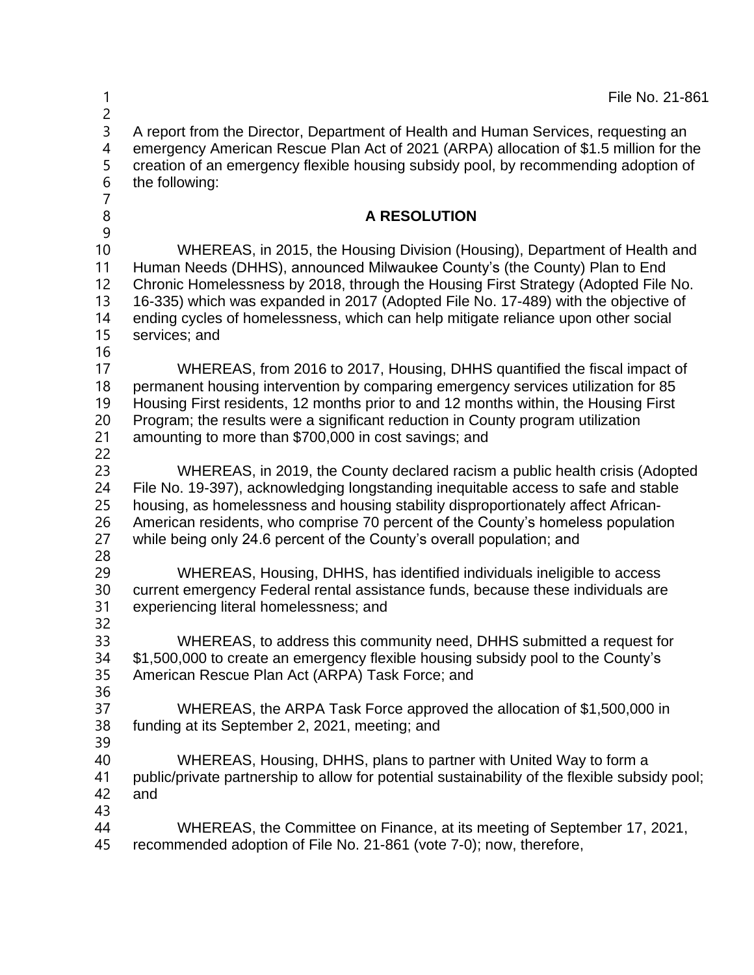| 1<br>$\overline{c}$                             | File No. 21-861                                                                                                                                                                                                                                                                                                                                                                                                                           |
|-------------------------------------------------|-------------------------------------------------------------------------------------------------------------------------------------------------------------------------------------------------------------------------------------------------------------------------------------------------------------------------------------------------------------------------------------------------------------------------------------------|
| 3<br>$\overline{4}$<br>5<br>6<br>$\overline{7}$ | A report from the Director, Department of Health and Human Services, requesting an<br>emergency American Rescue Plan Act of 2021 (ARPA) allocation of \$1.5 million for the<br>creation of an emergency flexible housing subsidy pool, by recommending adoption of<br>the following:                                                                                                                                                      |
| $\, 8$<br>9                                     | <b>A RESOLUTION</b>                                                                                                                                                                                                                                                                                                                                                                                                                       |
| 10<br>11<br>12<br>13<br>14<br>15<br>16          | WHEREAS, in 2015, the Housing Division (Housing), Department of Health and<br>Human Needs (DHHS), announced Milwaukee County's (the County) Plan to End<br>Chronic Homelessness by 2018, through the Housing First Strategy (Adopted File No.<br>16-335) which was expanded in 2017 (Adopted File No. 17-489) with the objective of<br>ending cycles of homelessness, which can help mitigate reliance upon other social<br>services; and |
| 17<br>18<br>19<br>20<br>21<br>22                | WHEREAS, from 2016 to 2017, Housing, DHHS quantified the fiscal impact of<br>permanent housing intervention by comparing emergency services utilization for 85<br>Housing First residents, 12 months prior to and 12 months within, the Housing First<br>Program; the results were a significant reduction in County program utilization<br>amounting to more than \$700,000 in cost savings; and                                         |
| 23<br>24<br>25<br>26<br>27                      | WHEREAS, in 2019, the County declared racism a public health crisis (Adopted<br>File No. 19-397), acknowledging longstanding inequitable access to safe and stable<br>housing, as homelessness and housing stability disproportionately affect African-<br>American residents, who comprise 70 percent of the County's homeless population<br>while being only 24.6 percent of the County's overall population; and                       |
| 28<br>29<br>30<br>31<br>32                      | WHEREAS, Housing, DHHS, has identified individuals ineligible to access<br>current emergency Federal rental assistance funds, because these individuals are<br>experiencing literal homelessness; and                                                                                                                                                                                                                                     |
| 33<br>34<br>35<br>36                            | WHEREAS, to address this community need, DHHS submitted a request for<br>\$1,500,000 to create an emergency flexible housing subsidy pool to the County's<br>American Rescue Plan Act (ARPA) Task Force; and                                                                                                                                                                                                                              |
| 37<br>38<br>39                                  | WHEREAS, the ARPA Task Force approved the allocation of \$1,500,000 in<br>funding at its September 2, 2021, meeting; and                                                                                                                                                                                                                                                                                                                  |
| 40<br>41<br>42<br>43                            | WHEREAS, Housing, DHHS, plans to partner with United Way to form a<br>public/private partnership to allow for potential sustainability of the flexible subsidy pool;<br>and                                                                                                                                                                                                                                                               |
| 44<br>45                                        | WHEREAS, the Committee on Finance, at its meeting of September 17, 2021,<br>recommended adoption of File No. 21-861 (vote 7-0); now, therefore,                                                                                                                                                                                                                                                                                           |